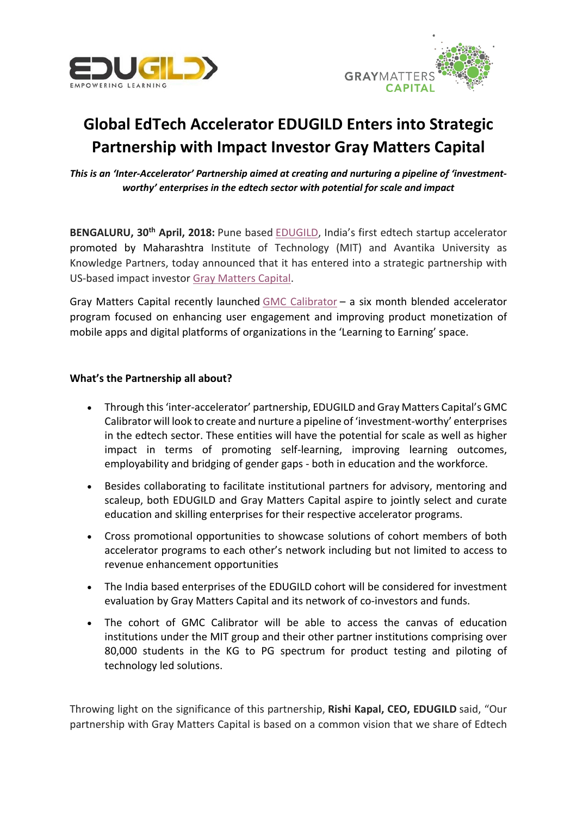



# **Global EdTech Accelerator EDUGILD Enters into Strategic Partnership with Impact Investor Gray Matters Capital**

*This is an 'Inter-Accelerator' Partnership aimed at creating and nurturing a pipeline of 'investmentworthy' enterprises in the edtech sector with potential for scale and impact*

**BENGALURU, 30th April, 2018:** Pune based [EDUGILD](http://www.edugild.com/), India's first edtech startup accelerator promoted by Maharashtra Institute of Technology (MIT) and Avantika University as Knowledge Partners, today announced that it has entered into a strategic partnership with US-based impact investor [Gray Matters Capital](http://graymatterscap.com/).

Gray Matters Capital recently launched [GMC Calibrator](http://graymatterscap.com/gmc-calibrator/) – a six month blended accelerator program focused on enhancing user engagement and improving product monetization of mobile apps and digital platforms of organizations in the 'Learning to Earning' space.

## **What's the Partnership all about?**

- Through this 'inter-accelerator' partnership, EDUGILD and Gray Matters Capital's GMC Calibrator will look to create and nurture a pipeline of 'investment-worthy' enterprises in the edtech sector. These entities will have the potential for scale as well as higher impact in terms of promoting self-learning, improving learning outcomes, employability and bridging of gender gaps - both in education and the workforce.
- Besides collaborating to facilitate institutional partners for advisory, mentoring and scaleup, both EDUGILD and Gray Matters Capital aspire to jointly select and curate education and skilling enterprises for their respective accelerator programs.
- Cross promotional opportunities to showcase solutions of cohort members of both accelerator programs to each other's network including but not limited to access to revenue enhancement opportunities
- The India based enterprises of the EDUGILD cohort will be considered for investment evaluation by Gray Matters Capital and its network of co-investors and funds.
- The cohort of GMC Calibrator will be able to access the canvas of education institutions under the MIT group and their other partner institutions comprising over 80,000 students in the KG to PG spectrum for product testing and piloting of technology led solutions.

Throwing light on the significance of this partnership, **Rishi Kapal, CEO, EDUGILD** said, "Our partnership with Gray Matters Capital is based on a common vision that we share of Edtech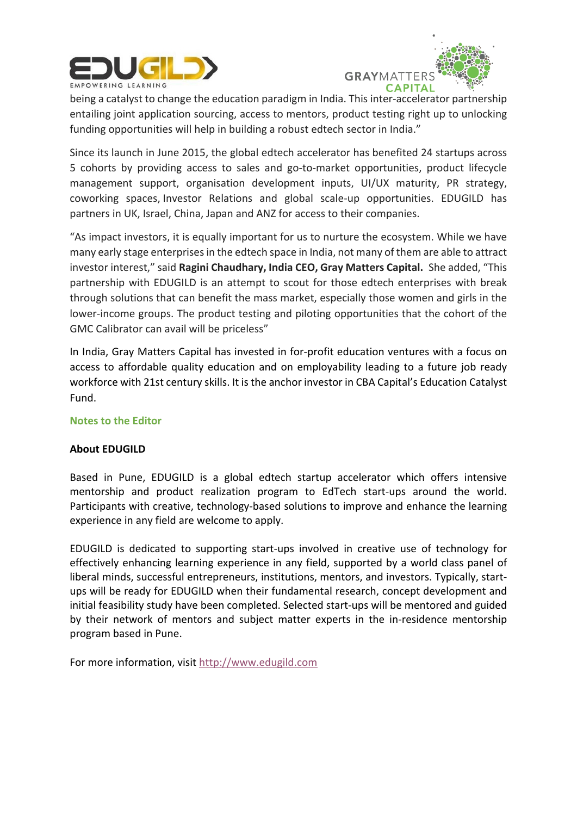



being a catalyst to change the education paradigm in India. This inter-accelerator partnership entailing joint application sourcing, access to mentors, product testing right up to unlocking funding opportunities will help in building a robust edtech sector in India."

Since its launch in June 2015, the global edtech accelerator has benefited 24 startups across 5 cohorts by providing access to sales and go-to-market opportunities, product lifecycle management support, organisation development inputs, UI/UX maturity, PR strategy, coworking spaces, Investor Relations and global scale-up opportunities. EDUGILD has partners in UK, Israel, China, Japan and ANZ for access to their companies.

"As impact investors, it is equally important for us to nurture the ecosystem. While we have many early stage enterprises in the edtech space in India, not many of them are able to attract investor interest," said **Ragini Chaudhary, India CEO, Gray Matters Capital.** She added, "This partnership with EDUGILD is an attempt to scout for those edtech enterprises with break through solutions that can benefit the mass market, especially those women and girls in the lower-income groups. The product testing and piloting opportunities that the cohort of the GMC Calibrator can avail will be priceless"

In India, Gray Matters Capital has invested in for-profit education ventures with a focus on access to affordable quality education and on employability leading to a future job ready workforce with 21st century skills. It is the anchor investor in CBA Capital's Education Catalyst Fund.

#### **Notes to the Editor**

# **About EDUGILD**

Based in Pune, EDUGILD is a global edtech startup accelerator which offers intensive mentorship and product realization program to EdTech start-ups around the world. Participants with creative, technology-based solutions to improve and enhance the learning experience in any field are welcome to apply.

EDUGILD is dedicated to supporting start-ups involved in creative use of technology for effectively enhancing learning experience in any field, supported by a world class panel of liberal minds, successful entrepreneurs, institutions, mentors, and investors. Typically, startups will be ready for EDUGILD when their fundamental research, concept development and initial feasibility study have been completed. Selected start-ups will be mentored and guided by their network of mentors and subject matter experts in the in-residence mentorship program based in Pune.

For more information, visit [http://www.edugild.com](http://www.edugild.com/)